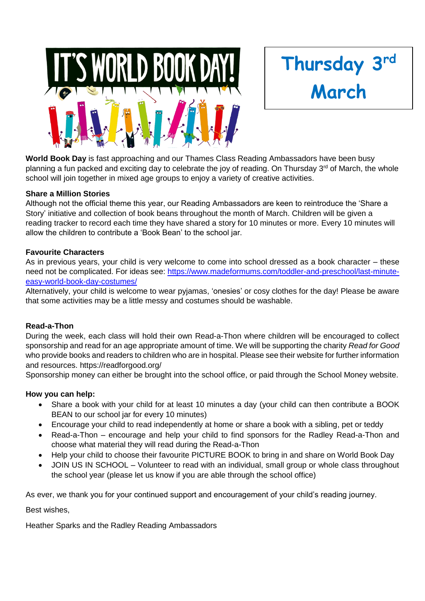



**World Book Day** is fast approaching and our Thames Class Reading Ambassadors have been busy planning a fun packed and exciting day to celebrate the joy of reading. On Thursday  $3<sup>rd</sup>$  of March, the whole school will join together in mixed age groups to enjoy a variety of creative activities.

#### **Share a Million Stories**

Although not the official theme this year, our Reading Ambassadors are keen to reintroduce the 'Share a Story' initiative and collection of book beans throughout the month of March. Children will be given a reading tracker to record each time they have shared a story for 10 minutes or more. Every 10 minutes will allow the children to contribute a 'Book Bean' to the school jar.

#### **Favourite Characters**

As in previous years, your child is very welcome to come into school dressed as a book character – these need not be complicated. For ideas see: [https://www.madeformums.com/toddler-and-preschool/last-minute](https://www.madeformums.com/toddler-and-preschool/last-minute-easy-world-book-day-costumes/)[easy-world-book-day-costumes/](https://www.madeformums.com/toddler-and-preschool/last-minute-easy-world-book-day-costumes/)

Alternatively, your child is welcome to wear pyjamas, 'onesies' or cosy clothes for the day! Please be aware that some activities may be a little messy and costumes should be washable.

#### **Read-a-Thon**

During the week, each class will hold their own Read-a-Thon where children will be encouraged to collect sponsorship and read for an age appropriate amount of time. We will be supporting the charity *Read for Good* who provide books and readers to children who are in hospital. Please see their website for further information and resources. https://readforgood.org/

Sponsorship money can either be brought into the school office, or paid through the School Money website.

#### **How you can help:**

- Share a book with your child for at least 10 minutes a day (your child can then contribute a BOOK BEAN to our school jar for every 10 minutes)
- Encourage your child to read independently at home or share a book with a sibling, pet or teddy
- Read-a-Thon encourage and help your child to find sponsors for the Radley Read-a-Thon and choose what material they will read during the Read-a-Thon
- Help your child to choose their favourite PICTURE BOOK to bring in and share on World Book Day
- JOIN US IN SCHOOL Volunteer to read with an individual, small group or whole class throughout the school year (please let us know if you are able through the school office)

As ever, we thank you for your continued support and encouragement of your child's reading journey.

Best wishes,

Heather Sparks and the Radley Reading Ambassadors